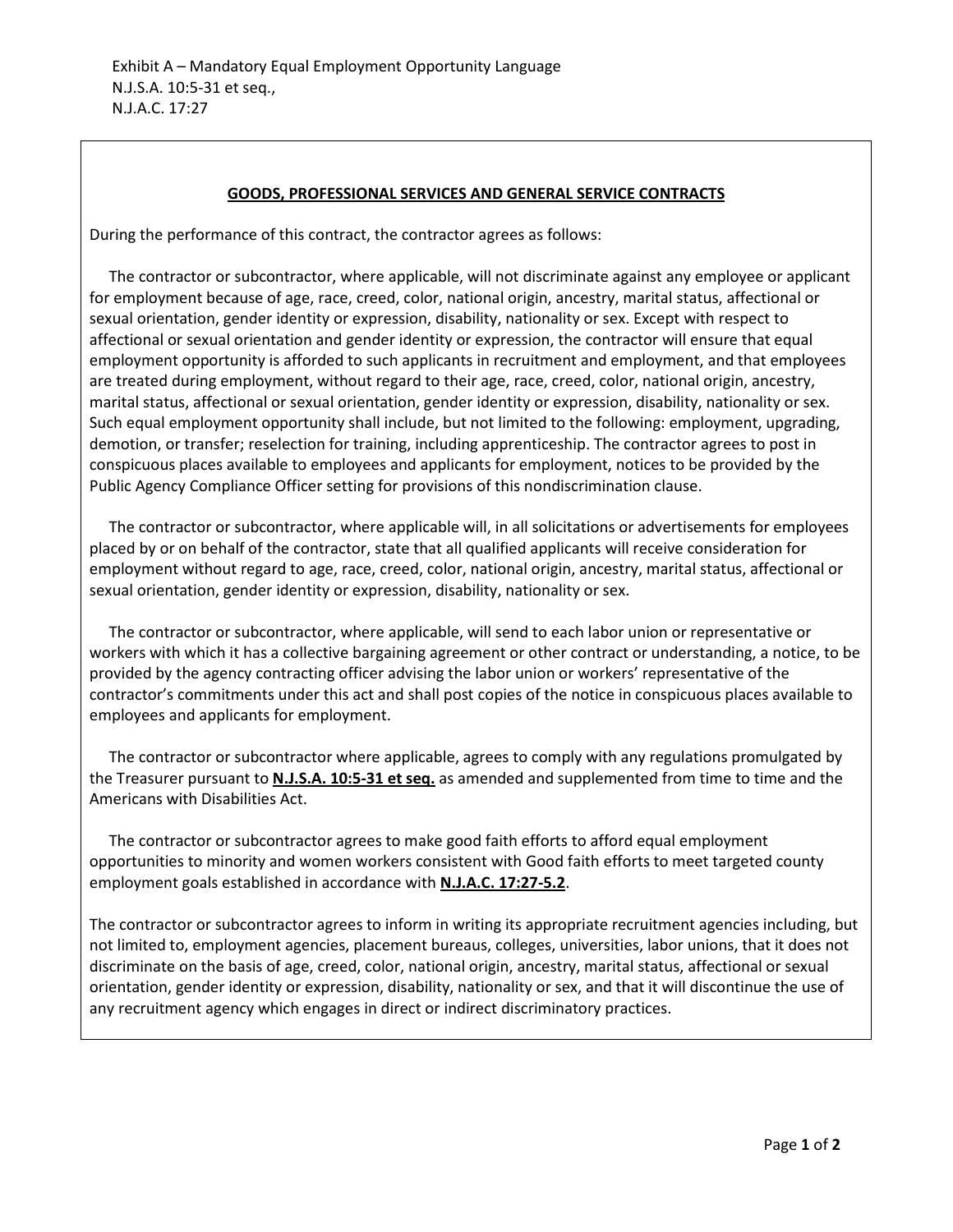## **GOODS, PROFESSIONAL SERVICES AND GENERAL SERVICE CONTRACTS**

During the performance of this contract, the contractor agrees as follows:

 The contractor or subcontractor, where applicable, will not discriminate against any employee or applicant for employment because of age, race, creed, color, national origin, ancestry, marital status, affectional or sexual orientation, gender identity or expression, disability, nationality or sex. Except with respect to affectional or sexual orientation and gender identity or expression, the contractor will ensure that equal employment opportunity is afforded to such applicants in recruitment and employment, and that employees are treated during employment, without regard to their age, race, creed, color, national origin, ancestry, marital status, affectional or sexual orientation, gender identity or expression, disability, nationality or sex. Such equal employment opportunity shall include, but not limited to the following: employment, upgrading, demotion, or transfer; reselection for training, including apprenticeship. The contractor agrees to post in conspicuous places available to employees and applicants for employment, notices to be provided by the Public Agency Compliance Officer setting for provisions of this nondiscrimination clause.

 The contractor or subcontractor, where applicable will, in all solicitations or advertisements for employees placed by or on behalf of the contractor, state that all qualified applicants will receive consideration for employment without regard to age, race, creed, color, national origin, ancestry, marital status, affectional or sexual orientation, gender identity or expression, disability, nationality or sex.

 The contractor or subcontractor, where applicable, will send to each labor union or representative or workers with which it has a collective bargaining agreement or other contract or understanding, a notice, to be provided by the agency contracting officer advising the labor union or workers' representative of the contractor's commitments under this act and shall post copies of the notice in conspicuous places available to employees and applicants for employment.

 The contractor or subcontractor where applicable, agrees to comply with any regulations promulgated by the Treasurer pursuant to **N.J.S.A. 10:5-31 et seq.** as amended and supplemented from time to time and the Americans with Disabilities Act.

 The contractor or subcontractor agrees to make good faith efforts to afford equal employment opportunities to minority and women workers consistent with Good faith efforts to meet targeted county employment goals established in accordance with **N.J.A.C. 17:27-5.2**.

The contractor or subcontractor agrees to inform in writing its appropriate recruitment agencies including, but not limited to, employment agencies, placement bureaus, colleges, universities, labor unions, that it does not discriminate on the basis of age, creed, color, national origin, ancestry, marital status, affectional or sexual orientation, gender identity or expression, disability, nationality or sex, and that it will discontinue the use of any recruitment agency which engages in direct or indirect discriminatory practices.